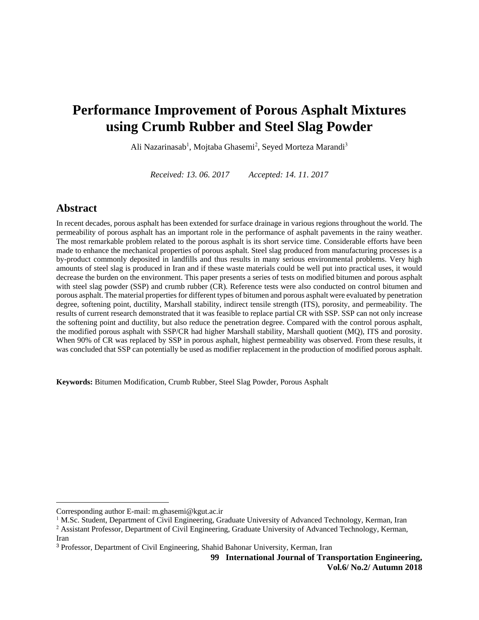# **Performance Improvement of Porous Asphalt Mixtures using Crumb Rubber and Steel Slag Powder**

Ali Nazarinasab<sup>1</sup>, Mojtaba Ghasemi<sup>2</sup>, Seyed Morteza Marandi<sup>3</sup>

*Received: 13. 06. 2017 Accepted: 14. 11. 2017*

### **Abstract**

 $\overline{a}$ 

In recent decades, porous asphalt has been extended for surface drainage in various regions throughout the world. The permeability of porous asphalt has an important role in the performance of asphalt pavements in the rainy weather. The most remarkable problem related to the porous asphalt is its short service time. Considerable efforts have been made to enhance the mechanical properties of porous asphalt. Steel slag produced from manufacturing processes is a by-product commonly deposited in landfills and thus results in many serious environmental problems. Very high amounts of steel slag is produced in Iran and if these waste materials could be well put into practical uses, it would decrease the burden on the environment. This paper presents a series of tests on modified bitumen and porous asphalt with steel slag powder (SSP) and crumb rubber (CR). Reference tests were also conducted on control bitumen and porous asphalt. The material properties for different types of bitumen and porous asphalt were evaluated by penetration degree, softening point, ductility, Marshall stability, indirect tensile strength (ITS), porosity, and permeability. The results of current research demonstrated that it was feasible to replace partial CR with SSP. SSP can not only increase the softening point and ductility, but also reduce the penetration degree. Compared with the control porous asphalt, the modified porous asphalt with SSP/CR had higher Marshall stability, Marshall quotient (MQ), ITS and porosity. When 90% of CR was replaced by SSP in porous asphalt, highest permeability was observed. From these results, it was concluded that SSP can potentially be used as modifier replacement in the production of modified porous asphalt.

**Keywords:** Bitumen Modification, Crumb Rubber, Steel Slag Powder, Porous Asphalt

**99 International Journal of Transportation Engineering, Vol.6/ No.2/ Autumn 2018**

Corresponding author E-mail: m.ghasemi@kgut.ac.ir

<sup>&</sup>lt;sup>1</sup> M.Sc. Student, Department of Civil Engineering, Graduate University of Advanced Technology, Kerman, Iran

<sup>&</sup>lt;sup>2</sup> Assistant Professor, Department of Civil Engineering, Graduate University of Advanced Technology, Kerman, Iran

<sup>3</sup> Professor, Department of Civil Engineering, Shahid Bahonar University, Kerman, Iran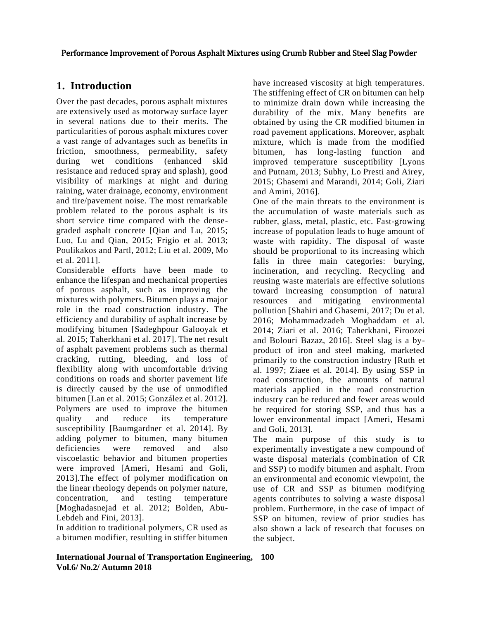## **1. Introduction**

Over the past decades, porous asphalt mixtures are extensively used as motorway surface layer in several nations due to their merits. The particularities of porous asphalt mixtures cover a vast range of advantages such as benefits in friction, smoothness, permeability, safety during wet conditions (enhanced skid resistance and reduced spray and splash), good visibility of markings at night and during raining, water drainage, economy, environment and tire/pavement noise. The most remarkable problem related to the porous asphalt is its short service time compared with the densegraded asphalt concrete [Qian and Lu, 2015; Luo, Lu and Qian, 2015; Frigio et al. 2013; Poulikakos and Partl, 2012; Liu et al. 2009, Mo et al. 2011].

Considerable efforts have been made to enhance the lifespan and mechanical properties of porous asphalt, such as improving the mixtures with polymers. Bitumen plays a major role in the road construction industry. The efficiency and durability of asphalt increase by modifying bitumen [Sadeghpour Galooyak et al. 2015; Taherkhani et al. 2017]. The net result of asphalt pavement problems such as thermal cracking, rutting, bleeding, and loss of flexibility along with uncomfortable driving conditions on roads and shorter pavement life is directly caused by the use of unmodified bitumen [Lan et al. 2015; González et al. 2012]. Polymers are used to improve the bitumen quality and reduce its temperature susceptibility [Baumgardner et al. 2014]. By adding polymer to bitumen, many bitumen deficiencies were removed and also viscoelastic behavior and bitumen properties were improved [Ameri, Hesami and Goli, 2013].The effect of polymer modification on the linear rheology depends on polymer nature, concentration, and testing temperature [Moghadasnejad et al. 2012; Bolden, Abu-Lebdeh and Fini, 2013].

In addition to traditional polymers, CR used as a bitumen modifier, resulting in stiffer bitumen have increased viscosity at high temperatures. The stiffening effect of CR on bitumen can help to minimize drain down while increasing the durability of the mix. Many benefits are obtained by using the CR modified bitumen in road pavement applications. Moreover, asphalt mixture, which is made from the modified bitumen, has long-lasting function and improved temperature susceptibility [Lyons and Putnam, 2013; Subhy, Lo Presti and Airey, 2015; Ghasemi and Marandi, 2014; Goli, Ziari and Amini, 2016].

One of the main threats to the environment is the accumulation of waste materials such as rubber, glass, metal, plastic, etc. Fast-growing increase of population leads to huge amount of waste with rapidity. The disposal of waste should be proportional to its increasing which falls in three main categories: burying, incineration, and recycling. Recycling and reusing waste materials are effective solutions toward increasing consumption of natural resources and mitigating environmental pollution [Shahiri and Ghasemi, 2017; Du et al. 2016; Mohammadzadeh Moghaddam et al. 2014; Ziari et al. 2016; Taherkhani, Firoozei and Bolouri Bazaz, 2016]. Steel slag is a byproduct of iron and steel making, marketed primarily to the construction industry [Ruth et al. 1997; Ziaee et al. 2014]. By using SSP in road construction, the amounts of natural materials applied in the road construction industry can be reduced and fewer areas would be required for storing SSP, and thus has a lower environmental impact [Ameri, Hesami and Goli, 2013].

The main purpose of this study is to experimentally investigate a new compound of waste disposal materials (combination of CR and SSP) to modify bitumen and asphalt. From an environmental and economic viewpoint, the use of CR and SSP as bitumen modifying agents contributes to solving a waste disposal problem. Furthermore, in the case of impact of SSP on bitumen, review of prior studies has also shown a lack of research that focuses on the subject.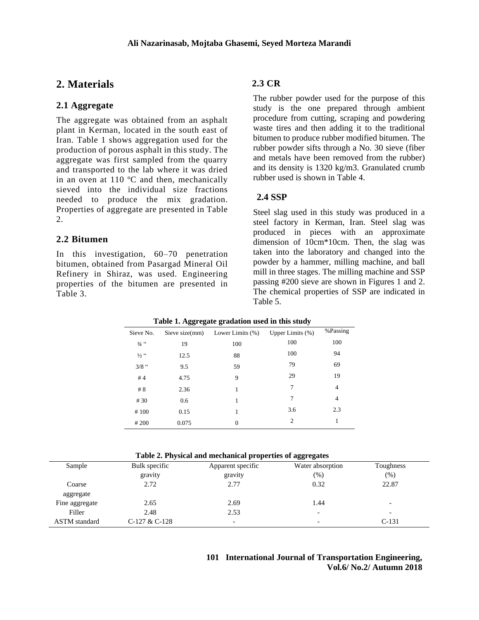## **2. Materials**

#### **2.1 Aggregate**

The aggregate was obtained from an asphalt plant in Kerman, located in the south east of Iran. Table 1 shows aggregation used for the production of porous asphalt in this study. The aggregate was first sampled from the quarry and transported to the lab where it was dried in an oven at 110 ºC and then, mechanically sieved into the individual size fractions needed to produce the mix gradation. Properties of aggregate are presented in Table 2.

#### **2.2 Bitumen**

In this investigation, 60–70 penetration bitumen, obtained from Pasargad Mineral Oil Refinery in Shiraz, was used. Engineering properties of the bitumen are presented in Table 3.

#### **2.3 CR**

The rubber powder used for the purpose of this study is the one prepared through ambient procedure from cutting, scraping and powdering waste tires and then adding it to the traditional bitumen to produce rubber modified bitumen. The rubber powder sifts through a No. 30 sieve (fiber and metals have been removed from the rubber) and its density is 1320 kg/m3. Granulated crumb rubber used is shown in Table 4.

#### **2.4 SSP**

Steel slag used in this study was produced in a steel factory in Kerman, Iran. Steel slag was produced in pieces with an approximate dimension of 10cm\*10cm. Then, the slag was taken into the laboratory and changed into the powder by a hammer, milling machine, and ball mill in three stages. The milling machine and SSP passing #200 sieve are shown in Figures 1 and 2. The chemical properties of SSP are indicated in Table 5.

| Sieve No.       | --<br>Sieve size(mm) | $\bullet$<br>Lower Limits (%) | Upper Limits $(\%)$ | %Passing |
|-----------------|----------------------|-------------------------------|---------------------|----------|
| $3/4$ $\cdot$   | 19                   | 100                           | 100                 | 100      |
| $\frac{1}{2}$ " | 12.5                 | 88                            | 100                 | 94       |
| $3/8$ "         | 9.5                  | 59                            | 79                  | 69       |
| #4              | 4.75                 | 9                             | 29                  | 19       |
| # 8             | 2.36                 | 1                             | 7                   | 4        |
| # 30            | 0.6                  | 1                             | 7                   | 4        |
| #100            | 0.15                 | 1                             | 3.6                 | 2.3      |
| # 200           | 0.075                | $\overline{0}$                | 2                   | 1        |

| Table 1. Aggregate gradation used in this study |  |  |
|-------------------------------------------------|--|--|
|                                                 |  |  |

| Table 2. I hysical and incendineal properties of aggregates |               |                   |                          |           |  |  |  |  |
|-------------------------------------------------------------|---------------|-------------------|--------------------------|-----------|--|--|--|--|
| Sample                                                      | Bulk specific | Apparent specific | Water absorption         | Toughness |  |  |  |  |
|                                                             | gravity       | gravity           | (%)                      | (%)       |  |  |  |  |
| Coarse                                                      | 2.72          | 2.77              | 0.32                     | 22.87     |  |  |  |  |
| aggregate                                                   |               |                   |                          |           |  |  |  |  |
| Fine aggregate                                              | 2.65          | 2.69              | 1.44                     | -         |  |  |  |  |
| Filler                                                      | 2.48          | 2.53              | -                        | -         |  |  |  |  |
| <b>ASTM</b> standard                                        | C-127 & C-128 | ۰                 | $\overline{\phantom{0}}$ | $C-131$   |  |  |  |  |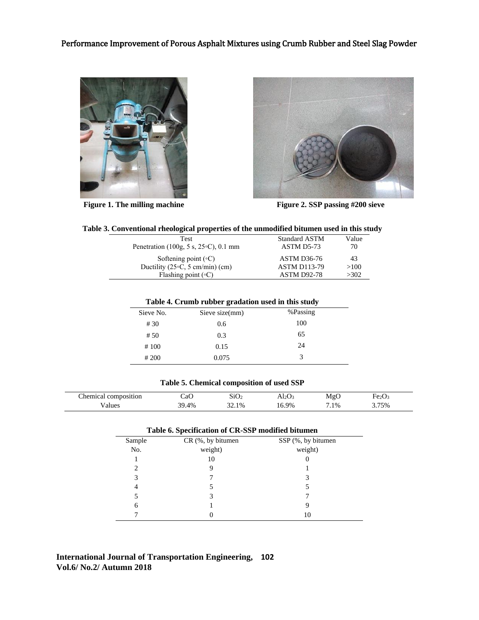



**Figure 1. The milling machine Figure 2. SSP passing #200 sieve** 

| Table 3. Conventional rheological properties of the unmodified bitumen used in this study |  |
|-------------------------------------------------------------------------------------------|--|
|                                                                                           |  |

| Test                                           | <b>Standard ASTM</b> | Value |
|------------------------------------------------|----------------------|-------|
| Penetration (100g, 5 s, $25\degree$ C), 0.1 mm | ASTM D5-73           | 70    |
| Softening point $({\circ}C)$                   | <b>ASTM D36-76</b>   | 43    |
| Ductility (25 $\circ$ C, 5 cm/min) (cm)        | <b>ASTM D113-79</b>  | >100  |
| Flashing point $({\circ}C)$                    | <b>ASTM D92-78</b>   | >302  |

|           | . .            | . .      |
|-----------|----------------|----------|
| Sieve No. | Sieve size(mm) | %Passing |
| #30       | 0.6            | 100      |
| #50       | 0.3            | 65       |
| #100      | 0.15           | 24       |
| # 200     | 0.075          | 3        |
|           |                |          |

#### **Table 5. Chemical composition of used SSP**

| hemical composition | СaО   | SiO <sub>2</sub> | Al2O3 | MgO  | Fe <sub>2</sub> O <sub>3</sub> |  |
|---------------------|-------|------------------|-------|------|--------------------------------|--|
| ∕alues              | 39.4% | 32.1%            | 16.9% | 7.1% | 3.75%                          |  |

| Table 6. Specification of CR-SSP modified bitumen |                   |                    |  |  |  |  |  |
|---------------------------------------------------|-------------------|--------------------|--|--|--|--|--|
| Sample                                            | CR (%, by bitumen | SSP (%, by bitumen |  |  |  |  |  |
| No.                                               | weight)           | weight)            |  |  |  |  |  |
|                                                   | 10                |                    |  |  |  |  |  |
| 2                                                 |                   |                    |  |  |  |  |  |
| 3                                                 |                   |                    |  |  |  |  |  |
| 4                                                 |                   |                    |  |  |  |  |  |
|                                                   | 3                 |                    |  |  |  |  |  |
| 6                                                 |                   | 9                  |  |  |  |  |  |
|                                                   |                   | 10                 |  |  |  |  |  |

### **International Journal of Transportation Engineering, 102 Vol.6/ No.2/ Autumn 2018**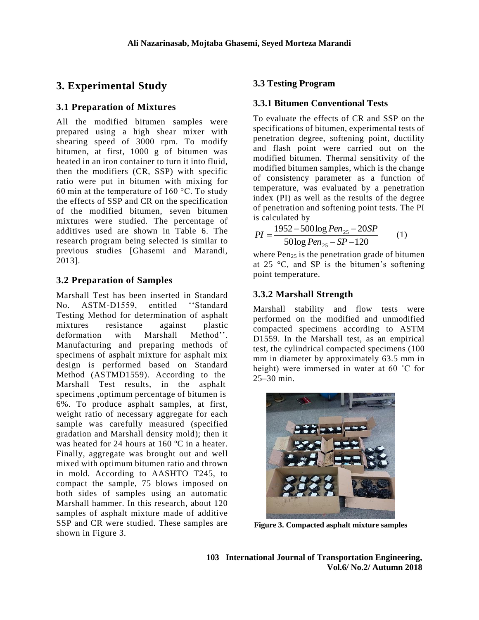## **3. Experimental Study**

## **3.1 Preparation of Mixtures**

All the modified bitumen samples were prepared using a high shear mixer with shearing speed of 3000 rpm. To modify bitumen, at first, 1000 g of bitumen was heated in an iron container to turn it into fluid, then the modifiers (CR, SSP) with specific ratio were put in bitumen with mixing for 60 min at the temperature of 160 °C. To study the effects of SSP and CR on the specification of the modified bitumen, seven bitumen mixtures were studied. The percentage of additives used are shown in Table 6. The research program being selected is similar to previous studies [Ghasemi and Marandi, 2013].

## **3.2 Preparation of Samples**

Marshall Test has been inserted in Standard No. ASTM-D1559, entitled ''Standard Testing Method for determination of asphalt mixtures resistance against plastic deformation with Marshall Method''. Manufacturing and preparing methods of specimens of asphalt mixture for asphalt mix design is performed based on Standard Method (ASTMD1559). According to the Marshall Test results, in the asphalt specimens ,optimum percentage of bitumen is 6%. To produce asphalt samples, at first, weight ratio of necessary aggregate for each sample was carefully measured (specified gradation and Marshall density mold); then it was heated for 24 hours at 160 ºC in a heater. Finally, aggregate was brought out and well mixed with optimum bitumen ratio and thrown in mold. According to AASHTO T245, to compact the sample, 75 blows imposed on both sides of samples using an automatic Marshall hammer. In this research, about 120 samples of asphalt mixture made of additive SSP and CR were studied. These samples are shown in Figure 3.

## **3.3 Testing Program**

### **3.3.1 Bitumen Conventional Tests**

To evaluate the effects of CR and SSP on the specifications of bitumen, experimental tests of penetration degree, softening point, ductility and flash point were carried out on the modified bitumen. Thermal sensitivity of the modified bitumen samples, which is the change of consistency parameter as a function of temperature, was evaluated by a penetration index (PI) as well as the results of the degree of penetration and softening point tests. The PI is calculated by

$$
PI = \frac{1952 - 500 \log Pen_{25} - 20SP}{50 \log Pen_{25} - SP - 120}
$$
 (1)

where  $Pen_{25}$  is the penetration grade of bitumen at 25 °C, and SP is the bitumen's softening point temperature.

## **3.3.2 Marshall Strength**

Marshall stability and flow tests were performed on the modified and unmodified compacted specimens according to ASTM D1559. In the Marshall test, as an empirical test, the cylindrical compacted specimens (100 mm in diameter by approximately 63.5 mm in height) were immersed in water at 60 ˚C for 25–30 min.



**Figure 3. Compacted asphalt mixture samples**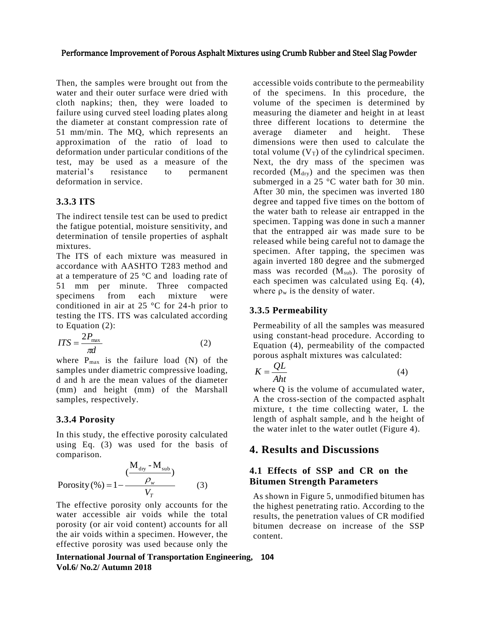Then, the samples were brought out from the water and their outer surface were dried with cloth napkins; then, they were loaded to failure using curved steel loading plates along the diameter at constant compression rate of 51 mm/min. The MQ, which represents an approximation of the ratio of load to deformation under particular conditions of the test, may be used as a measure of the material's resistance to permanent deformation in service.

## **3.3.3 ITS**

The indirect tensile test can be used to predict the fatigue potential, moisture sensitivity, and determination of tensile properties of asphalt mixtures.

The ITS of each mixture was measured in accordance with AASHTO T283 method and at a temperature of 25 °C and loading rate of 51 mm per minute. Three compacted specimens from each mixture were conditioned in air at 25 °C for 24-h prior to testing the ITS. ITS was calculated according to Equation (2):

$$
ITS = \frac{2P_{\text{max}}}{\pi d} \tag{2}
$$

where  $P_{max}$  is the failure load (N) of the samples under diametric compressive loading, d and h are the mean values of the diameter (mm) and height (mm) of the Marshall samples, respectively.

## **3.3.4 Porosity**

In this study, the effective porosity calculated using Eq. (3) was used for the basis of comparison.

$$
Porosity (\% ) = 1 - \frac{(\frac{M_{\text{dry}} - M_{\text{sub}}}{\rho_w})}{V_T}
$$
 (3)

The effective porosity only accounts for the water accessible air voids while the total porosity (or air void content) accounts for all the air voids within a specimen. However, the effective porosity was used because only the

accessible voids contribute to the permeability of the specimens. In this procedure, the volume of the specimen is determined by measuring the diameter and height in at least three different locations to determine the average diameter and height. These dimensions were then used to calculate the total volume  $(V_T)$  of the cylindrical specimen. Next, the dry mass of the specimen was recorded  $(M<sub>dry</sub>)$  and the specimen was then submerged in a 25 °C water bath for 30 min. After 30 min, the specimen was inverted 180 degree and tapped five times on the bottom of the water bath to release air entrapped in the specimen. Tapping was done in such a manner that the entrapped air was made sure to be released while being careful not to damage the specimen. After tapping, the specimen was again inverted 180 degree and the submerged mass was recorded (Msub). The porosity of each specimen was calculated using Eq. (4), where  $\rho_w$  is the density of water.

### **3.3.5 Permeability**

Permeability of all the samples was measured using constant-head procedure. According to Equation (4), permeability of the compacted porous asphalt mixtures was calculated:

$$
K = \frac{QL}{Aht}
$$
 (4)

where Q is the volume of accumulated water, A the cross-section of the compacted asphalt mixture, t the time collecting water, L the length of asphalt sample, and h the height of the water inlet to the water outlet (Figure 4).

## **4. Results and Discussions**

#### **4.1 Effects of SSP and CR on the Bitumen Strength Parameters**

As shown in Figure 5, unmodified bitumen has the highest penetrating ratio. According to the results, the penetration values of CR modified bitumen decrease on increase of the SSP content.

**International Journal of Transportation Engineering, 104 Vol.6/ No.2/ Autumn 2018**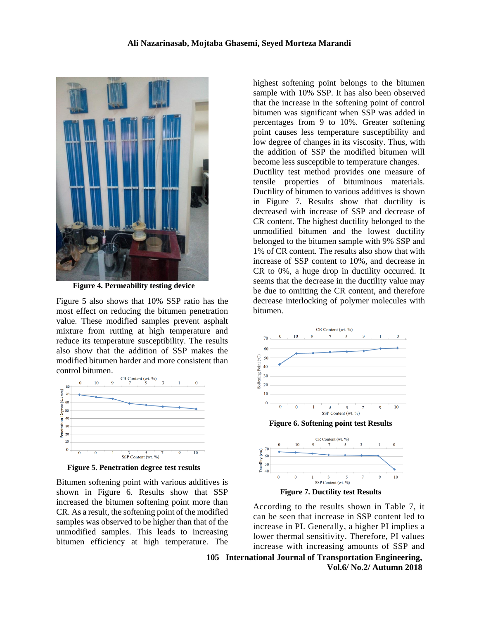

**Figure 4. Permeability testing device**

Figure 5 also shows that 10% SSP ratio has the most effect on reducing the bitumen penetration value. These modified samples prevent asphalt mixture from rutting at high temperature and reduce its temperature susceptibility. The results also show that the addition of SSP makes the modified bitumen harder and more consistent than control bitumen.



**Figure 5. Penetration degree test results**

Bitumen softening point with various additives is shown in Figure 6. Results show that SSP increased the bitumen softening point more than CR. As a result, the softening point of the modified samples was observed to be higher than that of the unmodified samples. This leads to increasing bitumen efficiency at high temperature. The

highest softening point belongs to the bitumen sample with 10% SSP. It has also been observed that the increase in the softening point of control bitumen was significant when SSP was added in percentages from 9 to 10%. Greater softening point causes less temperature susceptibility and low degree of changes in its viscosity. Thus, with the addition of SSP the modified bitumen will become less susceptible to temperature changes. Ductility test method provides one measure of tensile properties of bituminous materials. Ductility of bitumen to various additives is shown in Figure 7. Results show that ductility is decreased with increase of SSP and decrease of CR content. The highest ductility belonged to the unmodified bitumen and the lowest ductility belonged to the bitumen sample with 9% SSP and

1% of CR content. The results also show that with increase of SSP content to 10%, and decrease in CR to 0%, a huge drop in ductility occurred. It seems that the decrease in the ductility value may be due to omitting the CR content, and therefore decrease interlocking of polymer molecules with bitumen.



**Figure 7. Ductility test Results**

According to the results shown in Table 7, it can be seen that increase in SSP content led to increase in PI. Generally, a higher PI implies a lower thermal sensitivity. Therefore, PI values increase with increasing amounts of SSP and

**105 International Journal of Transportation Engineering, Vol.6/ No.2/ Autumn 2018**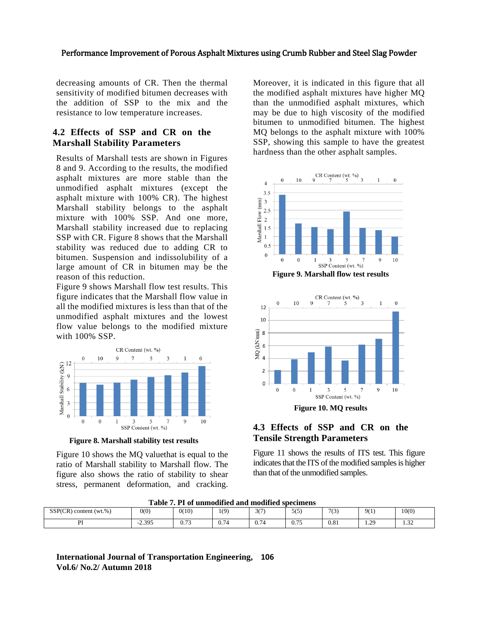decreasing amounts of CR. Then the thermal sensitivity of modified bitumen decreases with the addition of SSP to the mix and the resistance to low temperature increases.

#### **4.2 Effects of SSP and CR on the Marshall Stability Parameters**

Results of Marshall tests are shown in Figures 8 and 9. According to the results, the modified asphalt mixtures are more stable than the unmodified asphalt mixtures (except the asphalt mixture with 100% CR). The highest Marshall stability belongs to the asphalt mixture with 100% SSP. And one more, Marshall stability increased due to replacing SSP with CR. Figure 8 shows that the Marshall stability was reduced due to adding CR to bitumen. Suspension and indissolubility of a large amount of CR in bitumen may be the reason of this reduction.

Figure 9 shows Marshall flow test results. This figure indicates that the Marshall flow value in all the modified mixtures is less than that of the unmodified asphalt mixtures and the lowest flow value belongs to the modified mixture with 100% SSP.



**Figure 8. Marshall stability test results**

Figure 10 shows the MQ valuethat is equal to the ratio of Marshall stability to Marshall flow. The figure also shows the ratio of stability to shear stress, permanent deformation, and cracking.

Moreover, it is indicated in this figure that all the modified asphalt mixtures have higher MQ than the unmodified asphalt mixtures, which may be due to high viscosity of the modified bitumen to unmodified bitumen. The highest MQ belongs to the asphalt mixture with 100% SSP, showing this sample to have the greatest hardness than the other asphalt samples.



**Figure 9. Marshall flow test results**



#### **4.3 Effects of SSP and CR on the Tensile Strength Parameters**

Figure 11 shows the results of ITS test. This figure indicates that the ITS of the modified samples is higher than that of the unmodified samples.

**Table 7. PI of unmodified and modified specimens**

| Table 7. I T of unificative and modified specimens |          |                |                    |                    |            |      |                            |               |
|----------------------------------------------------|----------|----------------|--------------------|--------------------|------------|------|----------------------------|---------------|
| SSP(CR)<br>) content $(wt, %)$<br>(CR)             | 0(0)     | 0(10)          | 1(9)               | 20<br>، ، ب        | 515<br>ں ر | 7(3) | 9(1)                       | 10(0)         |
| זח                                                 | $-2.395$ | 0.72<br>v. 1 J | $\sim$ $-$<br>J.14 | $\sqrt{2}$<br>J.74 | 0.75       | 0.81 | $\Omega$<br>$\overline{1}$ | $\sim$<br>ے ر |

#### **International Journal of Transportation Engineering, 106 Vol.6/ No.2/ Autumn 2018**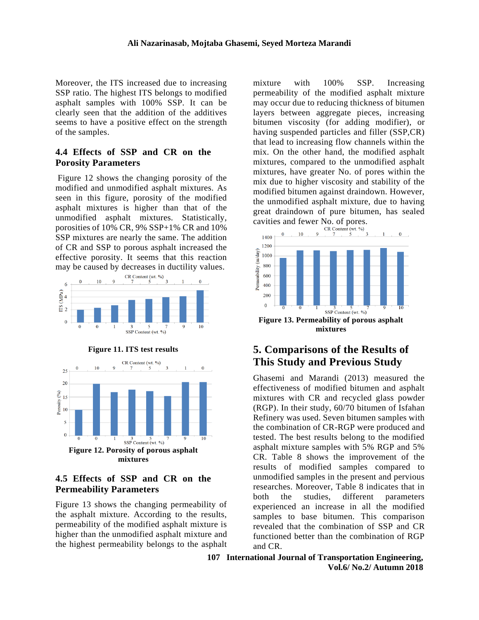Moreover, the ITS increased due to increasing SSP ratio. The highest ITS belongs to modified asphalt samples with 100% SSP. It can be clearly seen that the addition of the additives seems to have a positive effect on the strength of the samples.

#### **4.4 Effects of SSP and CR on the Porosity Parameters**

Figure 12 shows the changing porosity of the modified and unmodified asphalt mixtures. As seen in this figure, porosity of the modified asphalt mixtures is higher than that of the unmodified asphalt mixtures. Statistically, porosities of 10% CR, 9% SSP+1% CR and 10% SSP mixtures are nearly the same. The addition of CR and SSP to porous asphalt increased the effective porosity. It seems that this reaction may be caused by decreases in ductility values.



**Figure 11. ITS test results**



#### **4.5 Effects of SSP and CR on the Permeability Parameters**

Figure 13 shows the changing permeability of the asphalt mixture. According to the results, permeability of the modified asphalt mixture is higher than the unmodified asphalt mixture and the highest permeability belongs to the asphalt mixture with 100% SSP. Increasing permeability of the modified asphalt mixture may occur due to reducing thickness of bitumen layers between aggregate pieces, increasing bitumen viscosity (for adding modifier), or having suspended particles and filler (SSP,CR) that lead to increasing flow channels within the mix. On the other hand, the modified asphalt mixtures, compared to the unmodified asphalt mixtures, have greater No. of pores within the mix due to higher viscosity and stability of the modified bitumen against draindown. However, the unmodified asphalt mixture, due to having great draindown of pure bitumen, has sealed cavities and fewer No. of pores.<br>  $CR$  Content (wt. %)



## **5. Comparisons of the Results of This Study and Previous Study**

Ghasemi and Marandi (2013) measured the effectiveness of modified bitumen and asphalt mixtures with CR and recycled glass powder (RGP). In their study, 60/70 bitumen of Isfahan Refinery was used. Seven bitumen samples with the combination of CR-RGP were produced and tested. The best results belong to the modified asphalt mixture samples with 5% RGP and 5% CR. Table 8 shows the improvement of the results of modified samples compared to unmodified samples in the present and pervious researches. Moreover, Table 8 indicates that in both the studies, different parameters experienced an increase in all the modified samples to base bitumen. This comparison revealed that the combination of SSP and CR functioned better than the combination of RGP and CR.

**107 International Journal of Transportation Engineering, Vol.6/ No.2/ Autumn 2018**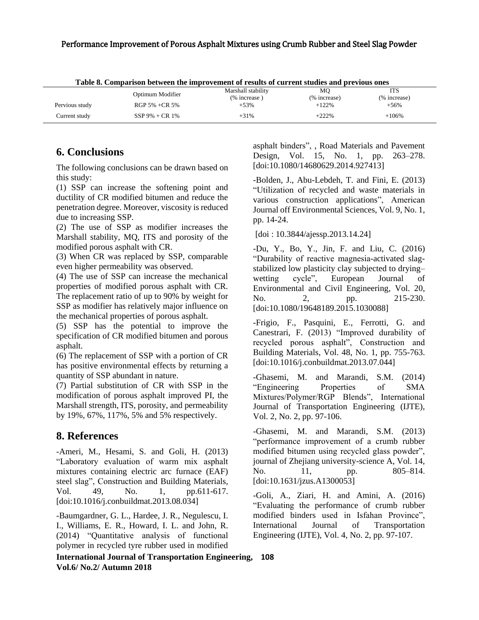| Table of Comparison between the improvement of results of current studies and previous ones |                    |                    |              |              |  |  |  |
|---------------------------------------------------------------------------------------------|--------------------|--------------------|--------------|--------------|--|--|--|
|                                                                                             | Optimum Modifier   | Marshall stability | MО           | <b>ITS</b>   |  |  |  |
|                                                                                             |                    | $%$ increase)      | (% increase) | (% increase) |  |  |  |
| Pervious study                                                                              | RGP 5% +CR 5%      | $+53%$             | $+122%$      | $+56%$       |  |  |  |
| Current study                                                                               | $SSP 9\% + CR 1\%$ | $+31%$             | $+222%$      | $+106%$      |  |  |  |

**Table 8. Comparison between the improvement of results of current studies and previous ones**

## **6. Conclusions**

The following conclusions can be drawn based on this study:

(1) SSP can increase the softening point and ductility of CR modified bitumen and reduce the penetration degree. Moreover, viscosity is reduced due to increasing SSP.

(2) The use of SSP as modifier increases the Marshall stability, MQ, ITS and porosity of the modified porous asphalt with CR.

(3) When CR was replaced by SSP, comparable even higher permeability was observed.

(4) The use of SSP can increase the mechanical properties of modified porous asphalt with CR. The replacement ratio of up to 90% by weight for SSP as modifier has relatively major influence on the mechanical properties of porous asphalt.

(5) SSP has the potential to improve the specification of CR modified bitumen and porous asphalt.

(6) The replacement of SSP with a portion of CR has positive environmental effects by returning a quantity of SSP abundant in nature.

(7) Partial substitution of CR with SSP in the modification of porous asphalt improved PI, the Marshall strength, ITS, porosity, and permeability by 19%, 67%, 117%, 5% and 5% respectively.

## **8. References**

-Ameri, M., Hesami, S. and Goli, H. (2013) "Laboratory evaluation of warm mix asphalt mixtures containing electric arc furnace (EAF) steel slag", Construction and Building Materials, Vol. 49, No. 1, pp.611-617. [doi:10.1016/j.conbuildmat.2013.08.034]

[-Baumgardner, G.](http://saskatoonlibrary.ca/eds/results/all?query-1=AND%2CAU%3A%22Baumgardner%5C%2C+Gaylon+L.%22&highlight=n) L., [Hardee, J.](http://saskatoonlibrary.ca/eds/results/all?query-1=AND%2CAU%3A%22Hardee%5C%2C+John+R.%22&highlight=n) R., [Negulescu, I.](http://saskatoonlibrary.ca/eds/results/all?query-1=AND%2CAU%3A%22Negulescu%5C%2C+Ioan+I.%22&highlight=n) [I.,](http://saskatoonlibrary.ca/eds/results/all?query-1=AND%2CAU%3A%22Negulescu%5C%2C+Ioan+I.%22&highlight=n) [Williams, E.](http://saskatoonlibrary.ca/eds/results/all?query-1=AND%2CAU%3A%22Williams%5C%2C+Elton+R.%22&highlight=n) R., [Howard, I.](http://saskatoonlibrary.ca/eds/results/all?query-1=AND%2CAU%3A%22Howard%5C%2C+Isaac+L.%22&highlight=n) L. and [John, R.](http://saskatoonlibrary.ca/eds/results/all?query-1=AND%2CAU%3A%22John%5C%2C+Robert+C.+St%22&highlight=n) (2014) "Quantitative analysis of functional polymer in recycled tyre rubber used in modified

asphalt binders", , Road Materials and Pavement Design, Vol. 15, No. 1, pp. 263–278. [doi:10.1080/14680629.2014.927413]

-Bolden, J., Abu-Lebdeh, T. and Fini, E. (2013) "Utilization of recycled and waste materials in various construction applications", American Journal off Environmental Sciences, Vol. 9, No. 1, pp. 14-24.

[doi : 10.3844/ajessp.2013.14.24]

[-Du,](http://www.tandfonline.com/author/Du%2C+Yan-Jun) Y., [Bo,](http://www.tandfonline.com/author/Bo%2C+Yu-Lin) Y., [Jin,](http://www.tandfonline.com/author/Jin%2C+Fei) F. and [Liu,](http://www.tandfonline.com/author/Liu%2C+Chen-Yang) C. (2016) "Durability of reactive magnesia-activated slagstabilized low plasticity clay subjected to drying– wetting cycle", [European Journal of](http://www.tandfonline.com/toc/tece20/current)  [Environmental and Civil Engineering,](http://www.tandfonline.com/toc/tece20/current) Vol. 20, No. 2, pp. 215-230. [doi:10.1080/19648189.2015.1030088]

-Frigio, F., Pasquini, E., Ferrotti, G. and Canestrari, F. (2013) "Improved durability of recycled porous asphalt", Construction and Building Materials, Vol. 48, No. 1, pp. 755-763. [doi:10.1016/j.conbuildmat.2013.07.044]

-Ghasemi, M. and Marandi, S.M. (2014) "Engineering Properties of SMA Mixtures/Polymer/RGP Blends", International Journal of Transportation Engineering (IJTE), Vol. 2, No. 2, pp. 97-106.

-Ghasemi, M. and Marandi, S.M. (2013) "performance improvement of a crumb rubber modified bitumen using recycled glass powder", journal of Zhejiang university-science A, Vol. 14, No. 11, pp. 805–814. [doi:10.1631/jzus.A1300053]

-Goli, A., Ziari, H. and Amini, A. (2016) "Evaluating the performance of crumb rubber modified binders used in Isfahan Province", International Journal of Transportation Engineering (IJTE), Vol. 4, No. 2, pp. 97-107.

**International Journal of Transportation Engineering, 108 Vol.6/ No.2/ Autumn 2018**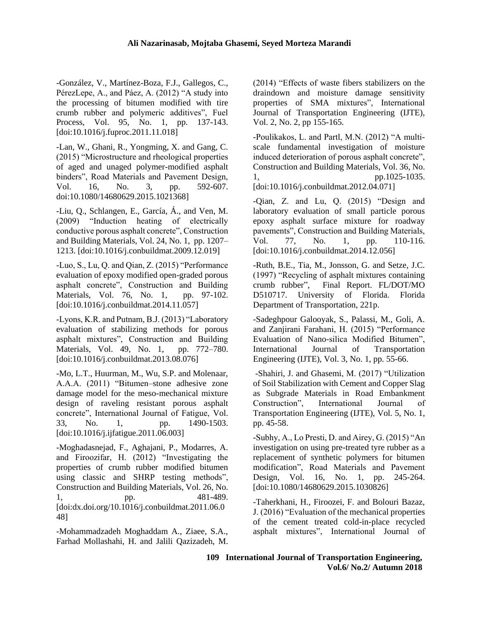-González, V., Martínez-Boza, F.J., Gallegos, C., PérezLepe, A., and Páez, A. (2012) "A study into the processing of bitumen modified with tire crumb rubber and polymeric additives", Fuel Process, Vol. 95, No. 1, pp. 137-143. [doi:10.1016/j.fuproc.2011.11.018]

-Lan, W., Ghani, R., Yongming, X. and Gang, C. (2015) "Microstructure and rheological properties of aged and unaged polymer-modified asphalt binders", Road Materials and Pavement Design, Vol. 16, No. 3, pp. 592-607. doi:10.1080/14680629.2015.1021368]

-Liu, Q., Schlangen, E., García, Á., and Ven, M. (2009) "Induction heating of electrically conductive porous asphalt concrete", Construction and Building Materials, Vol. 24, No. 1, pp. 1207– 1213. [doi:10.1016/j.conbuildmat.2009.12.019]

-Luo, S., Lu, Q. and Qian, Z. (2015) "Performance evaluation of epoxy modified open-graded porous asphalt concrete", Construction and Building Materials, Vol. 76, No. 1, pp. 97-102. [doi:10.1016/j.conbuildmat.2014.11.057]

-Lyons, K.R. and Putnam, B.J. (2013) "Laboratory evaluation of stabilizing methods for porous asphalt mixtures", Construction and Building Materials, Vol. 49, No. 1, pp. 772–780. [doi:10.1016/j.conbuildmat.2013.08.076]

-Mo, L.T., Huurman, M., Wu, S.P. and Molenaar, A.A.A. (2011) "Bitumen–stone adhesive zone damage model for the meso-mechanical mixture design of raveling resistant porous asphalt concrete", International Journal of Fatigue, Vol. 33, No. 1, pp. 1490-1503. [doi:10.1016/j.ijfatigue.2011.06.003]

-Moghadasnejad, F., Aghajani, P., Modarres, A. and Firoozifar, H. (2012) "Investigating the properties of crumb rubber modified bitumen using classic and SHRP testing methods", Construction and Building Materials, Vol. 26, No. 1, pp. 481-489. [doi[:dx.doi.org/10.1016/j.conbuildmat.2011.06.0](http://dx.doi.org/10.1016/j.conbuildmat.2011.06.048) [48\]](http://dx.doi.org/10.1016/j.conbuildmat.2011.06.048)

-Mohammadzadeh Moghaddam A., Ziaee, S.A., Farhad Mollashahi, H. and Jalili Qazizadeh, M.

(2014) "Effects of waste fibers stabilizers on the draindown and moisture damage sensitivity properties of SMA mixtures", International Journal of Transportation Engineering (IJTE), Vol. 2, No. 2, pp 155-165.

-Poulikakos, L. and Partl, M.N. (2012) "A multiscale fundamental investigation of moisture induced deterioration of porous asphalt concrete", Construction and Building Materials, Vol. 36, No. 1, pp.1025-1035. [doi:10.1016/j.conbuildmat.2012.04.071]

-Qian, Z. and Lu, Q. (2015) "Design and

laboratory evaluation of small particle porous epoxy asphalt surface mixture for roadway pavements", Construction and Building Materials, Vol. 77, No. 1, pp. 110-116. [doi:10.1016/j.conbuildmat.2014.12.056]

-Ruth, B.E., Tia, M., Jonsson, G. and Setze, J.C. (1997) "Recycling of asphalt mixtures containing crumb rubber", Final Report. FL/DOT/MO D510717. University of Florida. Florida Department of Transportation, 221p.

-Sadeghpour Galooyak, S., Palassi, M., Goli, A. and Zanjirani Farahani, H. (2015) "Performance Evaluation of Nano-silica Modified Bitumen", International Journal of Transportation Engineering (IJTE), Vol. 3, No. 1, pp. 55-66.

[-Shahiri,](http://ijte.ir/?_action=article&au=167720&_au=Jaber++Shahiri) J. and [Ghasemi,](http://ijte.ir/?_action=article&au=68899&_au=Mojtaba++Ghasemi) M. (2017) "Utilization of Soil Stabilization with Cement and Copper Slag as Subgrade Materials in Road Embankment Construction", International Journal of Transportation Engineering (IJTE), [Vol. 5, No.](http://ijte.ir/issue_5305_5328_Volume+5%2C+Issue+1%2C+Summer+2017%2C+Page+1-101.html) 1, pp. 45-58.

-Subhy, A., Lo Presti, D. and Airey, G. (2015) ["An](https://scholar.google.co.uk/citations?view_op=view_citation&hl=en&user=yScEZPYAAAAJ&citation_for_view=yScEZPYAAAAJ:8AbLer7MMksC)  [investigation on using pre-treated tyre rubber as a](https://scholar.google.co.uk/citations?view_op=view_citation&hl=en&user=yScEZPYAAAAJ&citation_for_view=yScEZPYAAAAJ:8AbLer7MMksC)  [replacement of synthetic polymers for bitumen](https://scholar.google.co.uk/citations?view_op=view_citation&hl=en&user=yScEZPYAAAAJ&citation_for_view=yScEZPYAAAAJ:8AbLer7MMksC)  [modification"](https://scholar.google.co.uk/citations?view_op=view_citation&hl=en&user=yScEZPYAAAAJ&citation_for_view=yScEZPYAAAAJ:8AbLer7MMksC), Road Materials and Pavement Design, Vol. 16, No. 1, pp. 245-264. [doi:10.1080/14680629.2015.1030826]

-Taherkhani, H., Firoozei, F. and Bolouri Bazaz, J. (2016) "Evaluation of the mechanical properties of the cement treated cold-in-place recycled asphalt mixtures", International Journal of

**109 International Journal of Transportation Engineering, Vol.6/ No.2/ Autumn 2018**